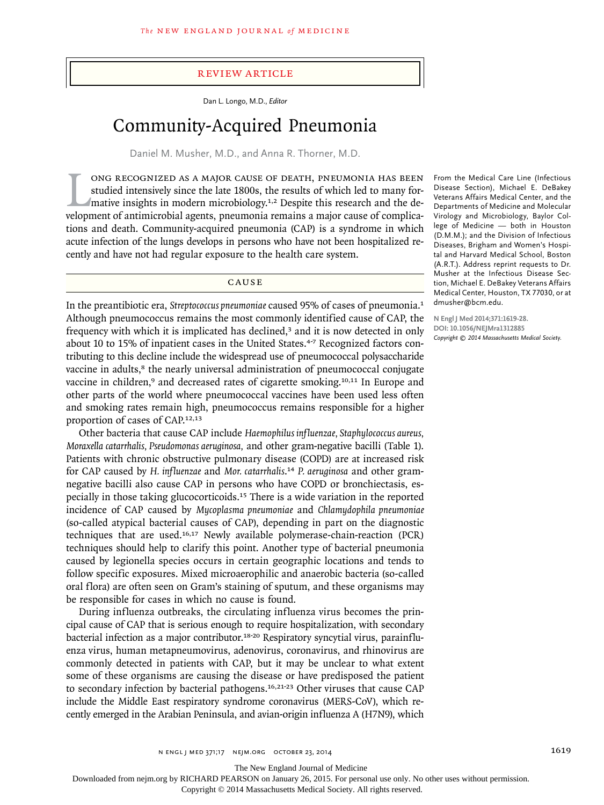## review article

Dan L. Longo, M.D., *Editor*

# Community-Acquired Pneumonia

Daniel M. Musher, M.D., and Anna R. Thorner, M.D.

ONG RECOGNIZED AS A MAJOR CAUSE OF DEATH, PNEUMONIA HAS BEEN studied intensively since the late 1800s, the results of which led to many for-<br>mative insights in modern microbiology.<sup>1,2</sup> Despite this research and the de-<br>ve ong recognized as a major cause of death, pneumonia has been studied intensively since the late 1800s, the results of which led to many formative insights in modern microbiology.<sup>1,2</sup> Despite this research and the detions and death. Community-acquired pneumonia (CAP) is a syndrome in which acute infection of the lungs develops in persons who have not been hospitalized recently and have not had regular exposure to the health care system.

CAUSE

In the preantibiotic era, *Streptococcus pneumoniae* caused 95% of cases of pneumonia.<sup>1</sup> Although pneumococcus remains the most commonly identified cause of CAP, the frequency with which it is implicated has declined,3 and it is now detected in only about 10 to 15% of inpatient cases in the United States.<sup>4-7</sup> Recognized factors contributing to this decline include the widespread use of pneumococcal polysaccharide vaccine in adults,<sup>8</sup> the nearly universal administration of pneumococcal conjugate vaccine in children,<sup>9</sup> and decreased rates of cigarette smoking.<sup>10,11</sup> In Europe and other parts of the world where pneumococcal vaccines have been used less often and smoking rates remain high, pneumococcus remains responsible for a higher proportion of cases of CAP.12,13

Other bacteria that cause CAP include *Haemophilus influenzae, Staphylococcus aureus, Moraxella catarrhalis, Pseudomonas aeruginosa,* and other gram-negative bacilli (Table 1). Patients with chronic obstructive pulmonary disease (COPD) are at increased risk for CAP caused by *H. influenzae* and *Mor. catarrhalis*. <sup>14</sup> *P. aeruginosa* and other gramnegative bacilli also cause CAP in persons who have COPD or bronchiectasis, especially in those taking glucocorticoids.15 There is a wide variation in the reported incidence of CAP caused by *Mycoplasma pneumoniae* and *Chlamydophila pneumoniae* (so-called atypical bacterial causes of CAP), depending in part on the diagnostic techniques that are used.16,17 Newly available polymerase-chain-reaction (PCR) techniques should help to clarify this point. Another type of bacterial pneumonia caused by legionella species occurs in certain geographic locations and tends to follow specific exposures. Mixed microaerophilic and anaerobic bacteria (so-called oral flora) are often seen on Gram's staining of sputum, and these organisms may be responsible for cases in which no cause is found.

During influenza outbreaks, the circulating influenza virus becomes the principal cause of CAP that is serious enough to require hospitalization, with secondary bacterial infection as a major contributor.<sup>18-20</sup> Respiratory syncytial virus, parainfluenza virus, human metapneumovirus, adenovirus, coronavirus, and rhinovirus are commonly detected in patients with CAP, but it may be unclear to what extent some of these organisms are causing the disease or have predisposed the patient to secondary infection by bacterial pathogens.16,21-23 Other viruses that cause CAP include the Middle East respiratory syndrome coronavirus (MERS-CoV), which recently emerged in the Arabian Peninsula, and avian*-*origin influenza A (H7N9), which

From the Medical Care Line (Infectious Disease Section), Michael E. DeBakey Veterans Affairs Medical Center, and the Departments of Medicine and Molecular Virology and Microbiology, Baylor College of Medicine — both in Houston (D.M.M.); and the Division of Infectious Diseases, Brigham and Women's Hospital and Harvard Medical School, Boston (A.R.T.). Address reprint requests to Dr. Musher at the Infectious Disease Section, Michael E. DeBakey Veterans Affairs Medical Center, Houston, TX 77030, or at dmusher@bcm.edu.

**N Engl J Med 2014;371:1619-28. DOI: 10.1056/NEJMra1312885** *Copyright © 2014 Massachusetts Medical Society.*

The New England Journal of Medicine

Downloaded from nejm.org by RICHARD PEARSON on January 26, 2015. For personal use only. No other uses without permission.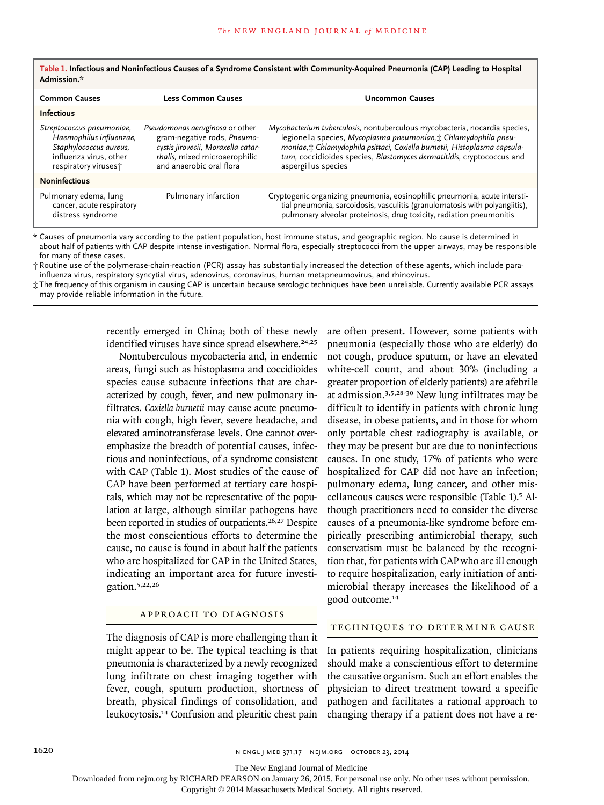| <b>Common Causes</b>                                                                                                             | <b>Less Common Causes</b>                                                                                                                                         | <b>Uncommon Causes</b>                                                                                                                                                                                                                                                                                                      |
|----------------------------------------------------------------------------------------------------------------------------------|-------------------------------------------------------------------------------------------------------------------------------------------------------------------|-----------------------------------------------------------------------------------------------------------------------------------------------------------------------------------------------------------------------------------------------------------------------------------------------------------------------------|
| <b>Infectious</b>                                                                                                                |                                                                                                                                                                   |                                                                                                                                                                                                                                                                                                                             |
| Streptococcus pneumoniae,<br>Haemophilus influenzae,<br>Staphylococcus aureus,<br>influenza virus, other<br>respiratory viruses; | Pseudomonas aeruginosa or other<br>gram-negative rods, Pneumo-<br>cystis jirovecii, Moraxella catar-<br>rhalis, mixed microaerophilic<br>and anaerobic oral flora | Mycobacterium tuberculosis, nontuberculous mycobacteria, nocardia species,<br>legionella species, Mycoplasma pneumoniae, : Chlamydophila pneu-<br>moniae, : Chlamydophila psittaci, Coxiella burnetii, Histoplasma capsula-<br>tum, coccidioides species, Blastomyces dermatitidis, cryptococcus and<br>aspergillus species |
| <b>Noninfectious</b>                                                                                                             |                                                                                                                                                                   |                                                                                                                                                                                                                                                                                                                             |
| Pulmonary edema, lung<br>cancer, acute respiratory<br>distress syndrome                                                          | Pulmonary infarction                                                                                                                                              | Cryptogenic organizing pneumonia, eosinophilic pneumonia, acute intersti-<br>tial pneumonia, sarcoidosis, vasculitis (granulomatosis with polyangiitis),<br>pulmonary alveolar proteinosis, drug toxicity, radiation pneumonitis                                                                                            |
|                                                                                                                                  |                                                                                                                                                                   |                                                                                                                                                                                                                                                                                                                             |

**Table 1. Infectious and Noninfectious Causes of a Syndrome Consistent with Community-Acquired Pneumonia (CAP) Leading to Hospital Admission.\***

\* Causes of pneumonia vary according to the patient population, host immune status, and geographic region. No cause is determined in about half of patients with CAP despite intense investigation. Normal flora, especially streptococci from the upper airways, may be responsible for many of these cases.

† Routine use of the polymerase-chain-reaction (PCR) assay has substantially increased the detection of these agents, which include parainfluenza virus, respiratory syncytial virus, adenovirus, coronavirus, human metapneumovirus, and rhinovirus.

‡ The frequency of this organism in causing CAP is uncertain because serologic techniques have been unreliable. Currently available PCR assays may provide reliable information in the future.

> recently emerged in China; both of these newly identified viruses have since spread elsewhere.<sup>24,25</sup>

> Nontuberculous mycobacteria and, in endemic areas, fungi such as histoplasma and coccidioides species cause subacute infections that are characterized by cough, fever, and new pulmonary infiltrates. *Coxiella burnetii* may cause acute pneumonia with cough, high fever, severe headache, and elevated aminotransferase levels. One cannot overemphasize the breadth of potential causes, infectious and noninfectious, of a syndrome consistent with CAP (Table 1). Most studies of the cause of CAP have been performed at tertiary care hospitals, which may not be representative of the population at large, although similar pathogens have been reported in studies of outpatients.<sup>26,27</sup> Despite the most conscientious efforts to determine the cause, no cause is found in about half the patients who are hospitalized for CAP in the United States, indicating an important area for future investigation.5,22,26

## Approach to Diagnosis

The diagnosis of CAP is more challenging than it might appear to be. The typical teaching is that pneumonia is characterized by a newly recognized lung infiltrate on chest imaging together with fever, cough, sputum production, shortness of breath, physical findings of consolidation, and leukocytosis.<sup>14</sup> Confusion and pleuritic chest pain

are often present. However, some patients with pneumonia (especially those who are elderly) do not cough, produce sputum, or have an elevated white-cell count, and about 30% (including a greater proportion of elderly patients) are afebrile at admission.3,5,28-30 New lung infiltrates may be difficult to identify in patients with chronic lung disease, in obese patients, and in those for whom only portable chest radiography is available, or they may be present but are due to noninfectious causes. In one study, 17% of patients who were hospitalized for CAP did not have an infection; pulmonary edema, lung cancer, and other miscellaneous causes were responsible (Table 1).<sup>5</sup> Although practitioners need to consider the diverse causes of a pneumonia-like syndrome before empirically prescribing antimicrobial therapy, such conservatism must be balanced by the recognition that, for patients with CAP who are ill enough to require hospitalization, early initiation of antimicrobial therapy increases the likelihood of a good outcome.<sup>14</sup>

#### Techniques to Determine Cause

In patients requiring hospitalization, clinicians should make a conscientious effort to determine the causative organism. Such an effort enables the physician to direct treatment toward a specific pathogen and facilitates a rational approach to changing therapy if a patient does not have a re-

1620 **n ENGL | MED 371;17 NEIM.ORG OCTOBER 23, 2014** 

The New England Journal of Medicine

Downloaded from nejm.org by RICHARD PEARSON on January 26, 2015. For personal use only. No other uses without permission.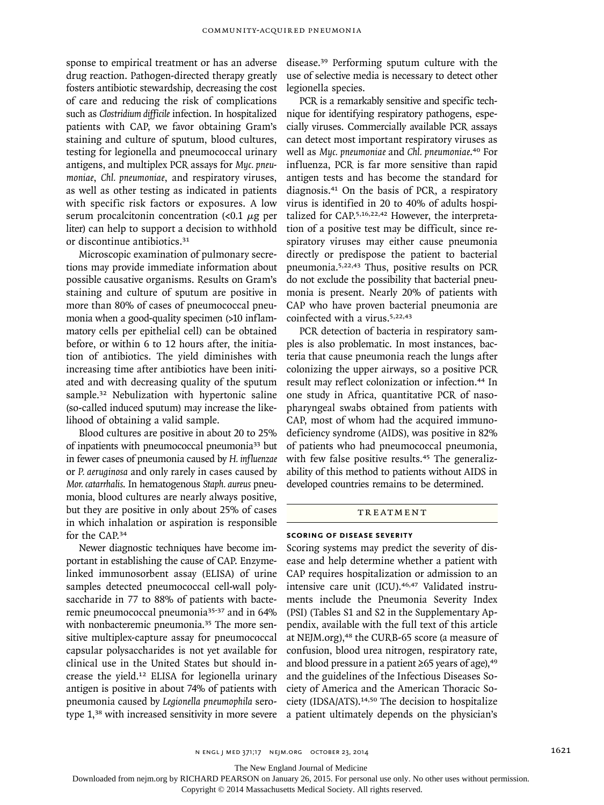sponse to empirical treatment or has an adverse drug reaction. Pathogen-directed therapy greatly fosters antibiotic stewardship, decreasing the cost of care and reducing the risk of complications such as *Clostridium difficile* infection. In hospitalized patients with CAP, we favor obtaining Gram's staining and culture of sputum, blood cultures, testing for legionella and pneumococcal urinary antigens, and multiplex PCR assays for *Myc. pneumoniae*, *Chl. pneumoniae*, and respiratory viruses, as well as other testing as indicated in patients with specific risk factors or exposures. A low serum procalcitonin concentration  $\left($ <0.1  $\mu$ g per liter) can help to support a decision to withhold or discontinue antibiotics.<sup>31</sup>

Microscopic examination of pulmonary secretions may provide immediate information about possible causative organisms. Results on Gram's staining and culture of sputum are positive in more than 80% of cases of pneumococcal pneumonia when a good-quality specimen (>10 inflammatory cells per epithelial cell) can be obtained before, or within 6 to 12 hours after, the initiation of antibiotics. The yield diminishes with increasing time after antibiotics have been initiated and with decreasing quality of the sputum sample.<sup>32</sup> Nebulization with hypertonic saline (so-called induced sputum) may increase the likelihood of obtaining a valid sample.

Blood cultures are positive in about 20 to 25% of inpatients with pneumococcal pneumonia<sup>33</sup> but in fewer cases of pneumonia caused by *H. influenzae* or *P. aeruginosa* and only rarely in cases caused by *Mor. catarrhalis*. In hematogenous *Staph. aureus* pneumonia, blood cultures are nearly always positive, but they are positive in only about 25% of cases in which inhalation or aspiration is responsible for the CAP.<sup>34</sup>

Newer diagnostic techniques have become important in establishing the cause of CAP. Enzymelinked immunosorbent assay (ELISA) of urine samples detected pneumococcal cell-wall polysaccharide in 77 to 88% of patients with bacteremic pneumococcal pneumonia35-37 and in 64% with nonbacteremic pneumonia.<sup>35</sup> The more sensitive multiplex-capture assay for pneumococcal capsular polysaccharides is not yet available for clinical use in the United States but should increase the yield.12 ELISA for legionella urinary antigen is positive in about 74% of patients with pneumonia caused by *Legionella pneumophila* serotype 1,38 with increased sensitivity in more severe disease.39 Performing sputum culture with the use of selective media is necessary to detect other legionella species.

PCR is a remarkably sensitive and specific technique for identifying respiratory pathogens, especially viruses. Commercially available PCR assays can detect most important respiratory viruses as well as *Myc. pneumoniae* and *Chl. pneumoniae*. <sup>40</sup> For influenza, PCR is far more sensitive than rapid antigen tests and has become the standard for diagnosis.41 On the basis of PCR, a respiratory virus is identified in 20 to 40% of adults hospitalized for CAP.5,16,22,42 However, the interpretation of a positive test may be difficult, since respiratory viruses may either cause pneumonia directly or predispose the patient to bacterial pneumonia.5,22,43 Thus, positive results on PCR do not exclude the possibility that bacterial pneumonia is present. Nearly 20% of patients with CAP who have proven bacterial pneumonia are coinfected with a virus.5,22,43

PCR detection of bacteria in respiratory samples is also problematic. In most instances, bacteria that cause pneumonia reach the lungs after colonizing the upper airways, so a positive PCR result may reflect colonization or infection.44 In one study in Africa, quantitative PCR of nasopharyngeal swabs obtained from patients with CAP, most of whom had the acquired immunodeficiency syndrome (AIDS), was positive in 82% of patients who had pneumococcal pneumonia, with few false positive results.<sup>45</sup> The generalizability of this method to patients without AIDS in developed countries remains to be determined.

#### **TREATMENT**

## **Scoring of Disease Severity**

Scoring systems may predict the severity of disease and help determine whether a patient with CAP requires hospitalization or admission to an intensive care unit (ICU).<sup>46,47</sup> Validated instruments include the Pneumonia Severity Index (PSI) (Tables S1 and S2 in the Supplementary Appendix, available with the full text of this article at NEJM.org),<sup>48</sup> the CURB-65 score (a measure of confusion, blood urea nitrogen, respiratory rate, and blood pressure in a patient  $\geq 65$  years of age),<sup>49</sup> and the guidelines of the Infectious Diseases Society of America and the American Thoracic Society (IDSA/ATS).14,50 The decision to hospitalize a patient ultimately depends on the physician's

The New England Journal of Medicine

Downloaded from nejm.org by RICHARD PEARSON on January 26, 2015. For personal use only. No other uses without permission.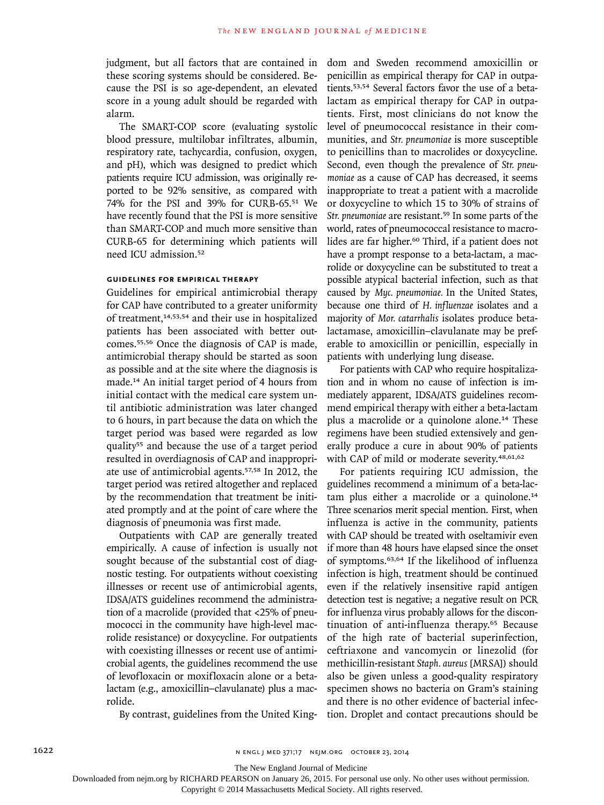judgment, but all factors that are contained in these scoring systems should be considered. Because the PSI is so age-dependent, an elevated score in a young adult should be regarded with alarm.

The SMART-COP score (evaluating systolic blood pressure, multilobar infiltrates, albumin, respiratory rate, tachycardia, confusion, oxygen, and pH), which was designed to predict which patients require ICU admission, was originally reported to be 92% sensitive, as compared with 74% for the PSI and 39% for CURB-65.51 We have recently found that the PSI is more sensitive than SMART-COP and much more sensitive than CURB-65 for determining which patients will need ICU admission.<sup>52</sup>

## **Guidelines for Empirical Therapy**

Guidelines for empirical antimicrobial therapy for CAP have contributed to a greater uniformity of treatment,14,53,54 and their use in hospitalized patients has been associated with better outcomes.55,56 Once the diagnosis of CAP is made, antimicrobial therapy should be started as soon as possible and at the site where the diagnosis is made.14 An initial target period of 4 hours from initial contact with the medical care system until antibiotic administration was later changed to 6 hours, in part because the data on which the target period was based were regarded as low quality55 and because the use of a target period resulted in overdiagnosis of CAP and inappropriate use of antimicrobial agents.57,58 In 2012, the target period was retired altogether and replaced by the recommendation that treatment be initiated promptly and at the point of care where the diagnosis of pneumonia was first made.

Outpatients with CAP are generally treated empirically. A cause of infection is usually not sought because of the substantial cost of diagnostic testing. For outpatients without coexisting illnesses or recent use of antimicrobial agents, IDSA/ATS guidelines recommend the administration of a macrolide (provided that <25% of pneumococci in the community have high-level macrolide resistance) or doxycycline. For outpatients with coexisting illnesses or recent use of antimicrobial agents, the guidelines recommend the use of levofloxacin or moxifloxacin alone or a betalactam (e.g., amoxicillin–clavulanate) plus a macrolide.

By contrast, guidelines from the United King-

dom and Sweden recommend amoxicillin or penicillin as empirical therapy for CAP in outpatients.53,54 Several factors favor the use of a betalactam as empirical therapy for CAP in outpatients. First, most clinicians do not know the level of pneumococcal resistance in their communities, and *Str. pneumoniae* is more susceptible to penicillins than to macrolides or doxycycline. Second, even though the prevalence of *Str. pneumoniae* as a cause of CAP has decreased, it seems inappropriate to treat a patient with a macrolide or doxycycline to which 15 to 30% of strains of *Str. pneumoniae* are resistant.59 In some parts of the world, rates of pneumococcal resistance to macrolides are far higher.<sup>60</sup> Third, if a patient does not have a prompt response to a beta-lactam, a macrolide or doxycycline can be substituted to treat a possible atypical bacterial infection, such as that caused by *Myc. pneumoniae.* In the United States, because one third of *H. influenzae* isolates and a majority of *Mor. catarrhalis* isolates produce betalactamase, amoxicillin–clavulanate may be preferable to amoxicillin or penicillin, especially in patients with underlying lung disease.

For patients with CAP who require hospitalization and in whom no cause of infection is immediately apparent, IDSA/ATS guidelines recommend empirical therapy with either a beta-lactam plus a macrolide or a quinolone alone.14 These regimens have been studied extensively and generally produce a cure in about 90% of patients with CAP of mild or moderate severity.<sup>48,61,62</sup>

For patients requiring ICU admission, the guidelines recommend a minimum of a beta-lactam plus either a macrolide or a quinolone.<sup>14</sup> Three scenarios merit special mention. First, when influenza is active in the community, patients with CAP should be treated with oseltamivir even if more than 48 hours have elapsed since the onset of symptoms.63,64 If the likelihood of influenza infection is high, treatment should be continued even if the relatively insensitive rapid antigen detection test is negative; a negative result on PCR for influenza virus probably allows for the discontinuation of anti-influenza therapy.65 Because of the high rate of bacterial superinfection, ceftriaxone and vancomycin or linezolid (for methicillin-resistant *Staph. aureus* [MRSA]) should also be given unless a good-quality respiratory specimen shows no bacteria on Gram's staining and there is no other evidence of bacterial infection. Droplet and contact precautions should be

The New England Journal of Medicine

Downloaded from nejm.org by RICHARD PEARSON on January 26, 2015. For personal use only. No other uses without permission.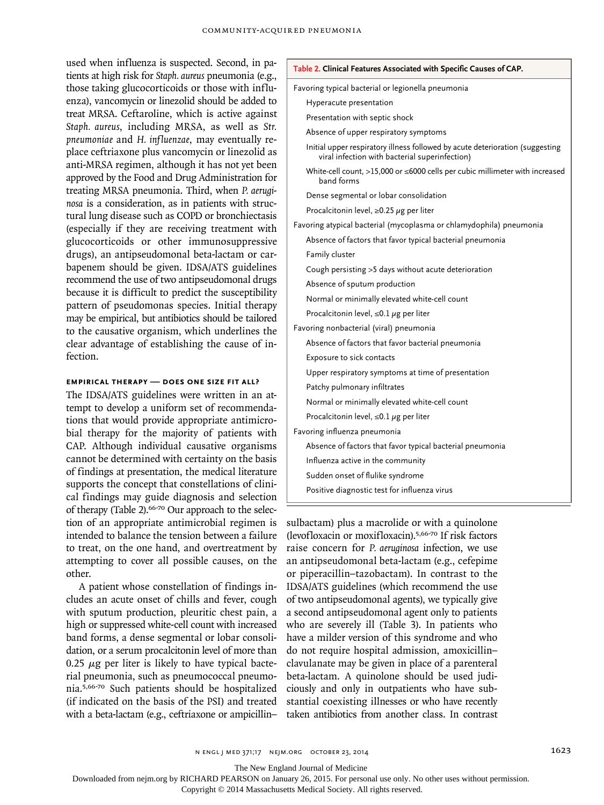used when influenza is suspected. Second, in patients at high risk for *Staph. aureus* pneumonia (e.g., those taking glucocorticoids or those with influenza), vancomycin or linezolid should be added to treat MRSA. Ceftaroline, which is active against *Staph. aureus*, including MRSA, as well as *Str. pneumoniae* and *H. inf luenzae*, may eventually replace ceftriaxone plus vancomycin or linezolid as anti-MRSA regimen, although it has not yet been approved by the Food and Drug Administration for treating MRSA pneumonia. Third, when *P. aeruginosa* is a consideration, as in patients with structural lung disease such as COPD or bronchiectasis (especially if they are receiving treatment with glucocorticoids or other immunosuppressive drugs), an antipseudomonal beta-lactam or carbapenem should be given. IDSA/ATS guidelines recommend the use of two antipseudomonal drugs because it is difficult to predict the susceptibility pattern of pseudomonas species. Initial therapy may be empirical, but antibiotics should be tailored to the causative organism, which underlines the clear advantage of establishing the cause of infection.

## **Empirical Therapy — Does One Size Fit All?**

The IDSA/ATS guidelines were written in an attempt to develop a uniform set of recommendations that would provide appropriate antimicrobial therapy for the majority of patients with CAP. Although individual causative organisms cannot be determined with certainty on the basis of findings at presentation, the medical literature supports the concept that constellations of clinical findings may guide diagnosis and selection of therapy (Table 2).<sup>66-70</sup> Our approach to the selection of an appropriate antimicrobial regimen is intended to balance the tension between a failure to treat, on the one hand, and overtreatment by attempting to cover all possible causes, on the other.

A patient whose constellation of findings includes an acute onset of chills and fever, cough with sputum production, pleuritic chest pain, a high or suppressed white-cell count with increased band forms, a dense segmental or lobar consolidation, or a serum procalcitonin level of more than 0.25  $\mu$ g per liter is likely to have typical bacterial pneumonia, such as pneumococcal pneumonia.5,66-70 Such patients should be hospitalized (if indicated on the basis of the PSI) and treated with a beta-lactam (e.g., ceftriaxone or ampicillin–

| Table 2. Clinical Features Associated with Specific Causes of CAP.                                                              |  |  |
|---------------------------------------------------------------------------------------------------------------------------------|--|--|
| Favoring typical bacterial or legionella pneumonia                                                                              |  |  |
| Hyperacute presentation                                                                                                         |  |  |
| Presentation with septic shock                                                                                                  |  |  |
| Absence of upper respiratory symptoms                                                                                           |  |  |
| Initial upper respiratory illness followed by acute deterioration (suggesting<br>viral infection with bacterial superinfection) |  |  |
| White-cell count, $>15,000$ or $\leq 6000$ cells per cubic millimeter with increased<br>band forms                              |  |  |
| Dense segmental or lobar consolidation                                                                                          |  |  |
| Procalcitonin level, $\geq$ 0.25 $\mu$ g per liter                                                                              |  |  |
| Favoring atypical bacterial (mycoplasma or chlamydophila) pneumonia                                                             |  |  |
| Absence of factors that favor typical bacterial pneumonia                                                                       |  |  |
| Family cluster                                                                                                                  |  |  |
| Cough persisting >5 days without acute deterioration                                                                            |  |  |
| Absence of sputum production                                                                                                    |  |  |
| Normal or minimally elevated white-cell count                                                                                   |  |  |
| Procalcitonin level, $\leq 0.1 \mu$ g per liter                                                                                 |  |  |
| Favoring nonbacterial (viral) pneumonia                                                                                         |  |  |
| Absence of factors that favor bacterial pneumonia                                                                               |  |  |
| Exposure to sick contacts                                                                                                       |  |  |
| Upper respiratory symptoms at time of presentation                                                                              |  |  |
| Patchy pulmonary infiltrates                                                                                                    |  |  |
| Normal or minimally elevated white-cell count                                                                                   |  |  |
| Procalcitonin level, $\leq 0.1 \mu$ g per liter                                                                                 |  |  |
| Favoring influenza pneumonia                                                                                                    |  |  |
| Absence of factors that favor typical bacterial pneumonia                                                                       |  |  |
| Influenza active in the community                                                                                               |  |  |
| Sudden onset of flulike syndrome                                                                                                |  |  |
| Positive diagnostic test for influenza virus                                                                                    |  |  |
|                                                                                                                                 |  |  |

sulbactam) plus a macrolide or with a quinolone (levofloxacin or moxifloxacin).5,66-70 If risk factors raise concern for *P. aeruginosa* infection, we use an antipseudomonal beta-lactam (e.g., cefepime or piperacillin–tazobactam). In contrast to the IDSA/ATS guidelines (which recommend the use of two antipseudomonal agents), we typically give a second antipseudomonal agent only to patients who are severely ill (Table 3). In patients who have a milder version of this syndrome and who do not require hospital admission, amoxicillin– clavulanate may be given in place of a parenteral beta-lactam. A quinolone should be used judiciously and only in outpatients who have substantial coexisting illnesses or who have recently taken antibiotics from another class. In contrast

The New England Journal of Medicine

Downloaded from nejm.org by RICHARD PEARSON on January 26, 2015. For personal use only. No other uses without permission.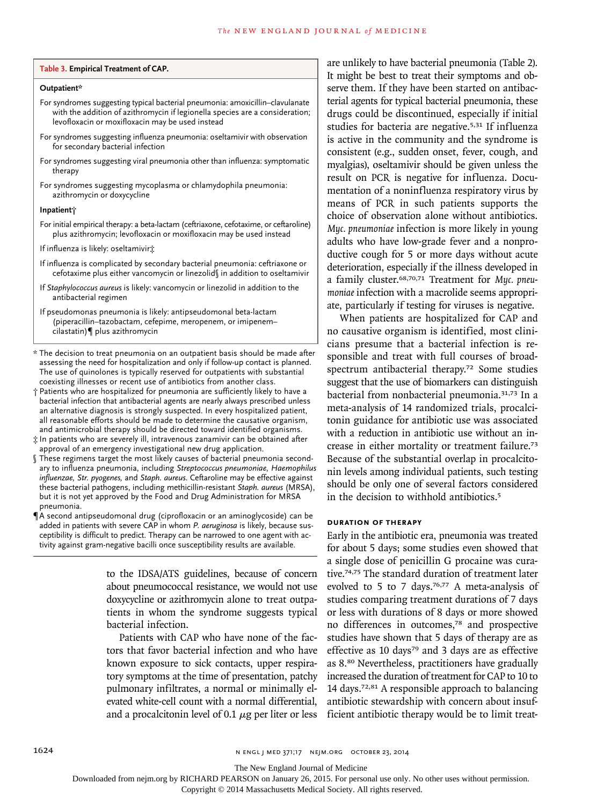#### **Table 3. Empirical Treatment of CAP.**

#### **Outpatient\***

- For syndromes suggesting typical bacterial pneumonia: amoxicillin–clavulanate with the addition of azithromycin if legionella species are a consideration; levofloxacin or moxifloxacin may be used instead
- For syndromes suggesting influenza pneumonia: oseltamivir with observation for secondary bacterial infection
- For syndromes suggesting viral pneumonia other than influenza: symptomatic therapy
- For syndromes suggesting mycoplasma or chlamydophila pneumonia: azithromycin or doxycycline

#### **Inpatient†**

- For initial empirical therapy: a beta-lactam (ceftriaxone, cefotaxime, or ceftaroline) plus azithromycin; levofloxacin or moxifloxacin may be used instead
- If influenza is likely: oseltamivir‡
- If influenza is complicated by secondary bacterial pneumonia: ceftriaxone or cefotaxime plus either vancomycin or linezolid§ in addition to oseltamivir
- If *Staphylococcus aureus* is likely: vancomycin or linezolid in addition to the antibacterial regimen
- If pseudomonas pneumonia is likely: antipseudomonal beta-lactam (piperacillin–tazobactam, cefepime, meropenem, or imipenem– cilastatin)¶ plus azithromycin
- \* The decision to treat pneumonia on an outpatient basis should be made after assessing the need for hospitalization and only if follow-up contact is planned. The use of quinolones is typically reserved for outpatients with substantial coexisting illnesses or recent use of antibiotics from another class.
- † Patients who are hospitalized for pneumonia are sufficiently likely to have a bacterial infection that antibacterial agents are nearly always prescribed unless an alternative diagnosis is strongly suspected. In every hospitalized patient, all reasonable efforts should be made to determine the causative organism, and antimicrobial therapy should be directed toward identified organisms.
- ‡ In patients who are severely ill, intravenous zanamivir can be obtained after approval of an emergency investigational new drug application.
- § These regimens target the most likely causes of bacterial pneumonia secondary to influenza pneumonia, including *Streptococcus pneumoniae, Haemophilus influenzae, Str. pyogenes,* and *Staph. aureus*. Ceftaroline may be effective against these bacterial pathogens, including methicillin-resistant *Staph. aureus* (MRSA), but it is not yet approved by the Food and Drug Administration for MRSA pneumonia.
- ¶A second antipseudomonal drug (ciprofloxacin or an aminoglycoside) can be added in patients with severe CAP in whom *P. aeruginosa* is likely, because susceptibility is difficult to predict. Therapy can be narrowed to one agent with activity against gram-negative bacilli once susceptibility results are available.

to the IDSA/ATS guidelines, because of concern about pneumococcal resistance, we would not use doxycycline or azithromycin alone to treat outpatients in whom the syndrome suggests typical bacterial infection.

Patients with CAP who have none of the factors that favor bacterial infection and who have known exposure to sick contacts, upper respiratory symptoms at the time of presentation, patchy pulmonary infiltrates, a normal or minimally elevated white-cell count with a normal differential, and a procalcitonin level of 0.1  $\mu$ g per liter or less are unlikely to have bacterial pneumonia (Table 2). It might be best to treat their symptoms and observe them. If they have been started on antibacterial agents for typical bacterial pneumonia, these drugs could be discontinued, especially if initial studies for bacteria are negative.<sup>5,31</sup> If influenza is active in the community and the syndrome is consistent (e.g., sudden onset, fever, cough, and myalgias), oseltamivir should be given unless the result on PCR is negative for influenza. Documentation of a noninfluenza respiratory virus by means of PCR in such patients supports the choice of observation alone without antibiotics. *Myc. pneumoniae* infection is more likely in young adults who have low-grade fever and a nonproductive cough for 5 or more days without acute deterioration, especially if the illness developed in a family cluster.68,70,71 Treatment for *Myc. pneumoniae* infection with a macrolide seems appropriate, particularly if testing for viruses is negative.

When patients are hospitalized for CAP and no causative organism is identified, most clinicians presume that a bacterial infection is responsible and treat with full courses of broadspectrum antibacterial therapy.72 Some studies suggest that the use of biomarkers can distinguish bacterial from nonbacterial pneumonia.31,73 In a meta-analysis of 14 randomized trials, procalcitonin guidance for antibiotic use was associated with a reduction in antibiotic use without an increase in either mortality or treatment failure.<sup>73</sup> Because of the substantial overlap in procalcitonin levels among individual patients, such testing should be only one of several factors considered in the decision to withhold antibiotics.<sup>5</sup>

## **Duration of Therapy**

Early in the antibiotic era, pneumonia was treated for about 5 days; some studies even showed that a single dose of penicillin G procaine was curative.74,75 The standard duration of treatment later evolved to 5 to 7 days.<sup>76,77</sup> A meta-analysis of studies comparing treatment durations of 7 days or less with durations of 8 days or more showed no differences in outcomes,<sup>78</sup> and prospective studies have shown that 5 days of therapy are as effective as 10 days<sup>79</sup> and 3 days are as effective as 8.<sup>80</sup> Nevertheless, practitioners have gradually increased the duration of treatment for CAP to 10 to 14 days.72,81 A responsible approach to balancing antibiotic stewardship with concern about insufficient antibiotic therapy would be to limit treat-

The New England Journal of Medicine

Downloaded from nejm.org by RICHARD PEARSON on January 26, 2015. For personal use only. No other uses without permission.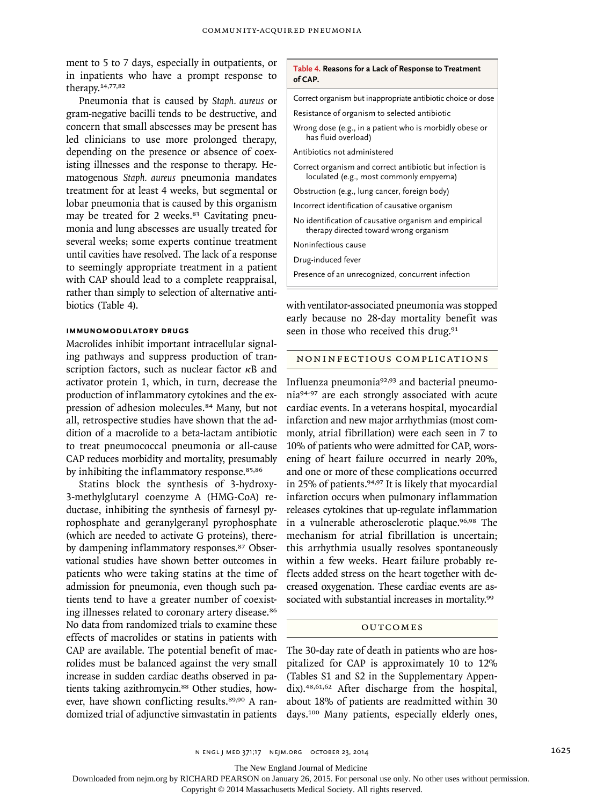ment to 5 to 7 days, especially in outpatients, or in inpatients who have a prompt response to therapy.14,77,82

Pneumonia that is caused by *Staph. aureus* or gram-negative bacilli tends to be destructive, and concern that small abscesses may be present has led clinicians to use more prolonged therapy, depending on the presence or absence of coexisting illnesses and the response to therapy. Hematogenous *Staph. aureus* pneumonia mandates treatment for at least 4 weeks, but segmental or lobar pneumonia that is caused by this organism may be treated for 2 weeks.<sup>83</sup> Cavitating pneumonia and lung abscesses are usually treated for several weeks; some experts continue treatment until cavities have resolved. The lack of a response to seemingly appropriate treatment in a patient with CAP should lead to a complete reappraisal, rather than simply to selection of alternative antibiotics (Table 4).

## **Immunomodulatory Drugs**

Macrolides inhibit important intracellular signaling pathways and suppress production of transcription factors, such as nuclear factor κB and activator protein 1, which, in turn, decrease the production of inflammatory cytokines and the expression of adhesion molecules.<sup>84</sup> Many, but not all, retrospective studies have shown that the addition of a macrolide to a beta-lactam antibiotic to treat pneumococcal pneumonia or all-cause CAP reduces morbidity and mortality, presumably by inhibiting the inflammatory response.<sup>85,86</sup>

Statins block the synthesis of 3-hydroxy-3-methylglutaryl coenzyme A (HMG-CoA) reductase, inhibiting the synthesis of farnesyl pyrophosphate and geranylgeranyl pyrophosphate (which are needed to activate G proteins), thereby dampening inflammatory responses.<sup>87</sup> Observational studies have shown better outcomes in patients who were taking statins at the time of admission for pneumonia, even though such patients tend to have a greater number of coexisting illnesses related to coronary artery disease.<sup>86</sup> No data from randomized trials to examine these effects of macrolides or statins in patients with CAP are available. The potential benefit of macrolides must be balanced against the very small increase in sudden cardiac deaths observed in patients taking azithromycin.<sup>88</sup> Other studies, however, have shown conflicting results.<sup>89,90</sup> A randomized trial of adjunctive simvastatin in patients

#### **Table 4. Reasons for a Lack of Response to Treatment of CAP.**

Correct organism but inappropriate antibiotic choice or dose Resistance of organism to selected antibiotic

Wrong dose (e.g., in a patient who is morbidly obese or has fluid overload)

Antibiotics not administered

- Correct organism and correct antibiotic but infection is loculated (e.g., most commonly empyema)
- Obstruction (e.g., lung cancer, foreign body)
- Incorrect identification of causative organism
- No identification of causative organism and empirical therapy directed toward wrong organism

Noninfectious cause

Drug-induced fever

Presence of an unrecognized, concurrent infection

with ventilator-associated pneumonia was stopped early because no 28-day mortality benefit was seen in those who received this drug.<sup>91</sup>

## Noninfectious Complications

Influenza pneumonia92,93 and bacterial pneumonia94-97 are each strongly associated with acute cardiac events. In a veterans hospital, myocardial infarction and new major arrhythmias (most commonly, atrial fibrillation) were each seen in 7 to 10% of patients who were admitted for CAP, worsening of heart failure occurred in nearly 20%, and one or more of these complications occurred in 25% of patients.94,97 It is likely that myocardial infarction occurs when pulmonary inflammation releases cytokines that up-regulate inflammation in a vulnerable atherosclerotic plaque.96,98 The mechanism for atrial fibrillation is uncertain; this arrhythmia usually resolves spontaneously within a few weeks. Heart failure probably reflects added stress on the heart together with decreased oxygenation. These cardiac events are associated with substantial increases in mortality.<sup>99</sup>

#### **OUTCOMES**

The 30-day rate of death in patients who are hospitalized for CAP is approximately 10 to 12% (Tables S1 and S2 in the Supplementary Appendix).48,61,62 After discharge from the hospital, about 18% of patients are readmitted within 30 days.100 Many patients, especially elderly ones,

The New England Journal of Medicine

Downloaded from nejm.org by RICHARD PEARSON on January 26, 2015. For personal use only. No other uses without permission.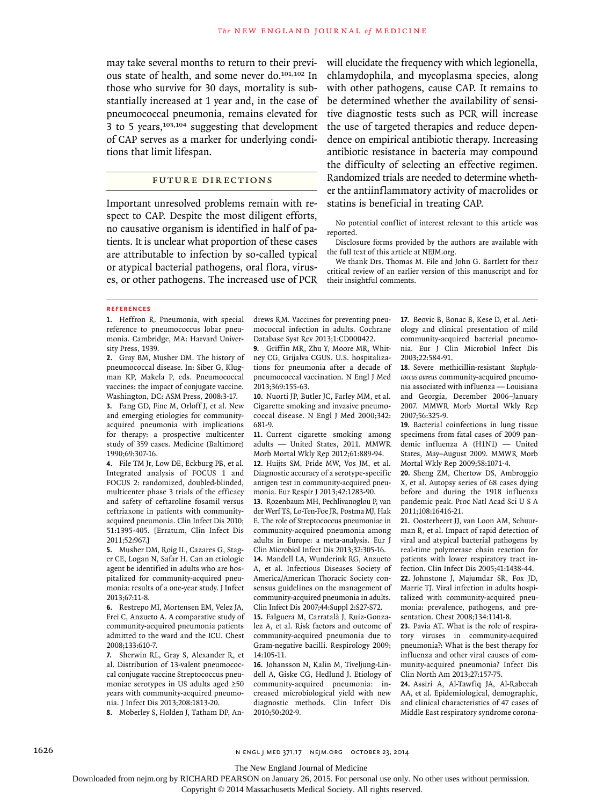may take several months to return to their previous state of health, and some never do.101,102 In those who survive for 30 days, mortality is substantially increased at 1 year and, in the case of pneumococcal pneumonia, remains elevated for 3 to 5 years, $103,104$  suggesting that development of CAP serves as a marker for underlying conditions that limit lifespan.

## Future Directions

Important unresolved problems remain with respect to CAP. Despite the most diligent efforts, no causative organism is identified in half of patients. It is unclear what proportion of these cases are attributable to infection by so-called typical or atypical bacterial pathogens, oral flora, viruses, or other pathogens. The increased use of PCR

will elucidate the frequency with which legionella, chlamydophila, and mycoplasma species, along with other pathogens, cause CAP. It remains to be determined whether the availability of sensitive diagnostic tests such as PCR will increase the use of targeted therapies and reduce dependence on empirical antibiotic therapy. Increasing antibiotic resistance in bacteria may compound the difficulty of selecting an effective regimen. Randomized trials are needed to determine whether the antiinflammatory activity of macrolides or statins is beneficial in treating CAP.

No potential conflict of interest relevant to this article was reported.

Disclosure forms provided by the authors are available with the full text of this article at NEJM.org.

We thank Drs. Thomas M. File and John G. Bartlett for their critical review of an earlier version of this manuscript and for their insightful comments.

#### **References**

**1.** Heffron R. Pneumonia, with special reference to pneumococcus lobar pneumonia. Cambridge, MA: Harvard University Press, 1939.

**2.** Gray BM, Musher DM. The history of pneumococcal disease. In: Siber G, Klugman KP, Makela P, eds. Pneumococcal vaccines: the impact of conjugate vaccine. Washington, DC: ASM Press, 2008:3-17.

**3.** Fang GD, Fine M, Orloff J, et al. New and emerging etiologies for communityacquired pneumonia with implications for therapy: a prospective multicenter study of 359 cases. Medicine (Baltimore) 1990;69:307-16.

**4.** File TM Jr, Low DE, Eckburg PB, et al. Integrated analysis of FOCUS 1 and FOCUS 2: randomized, doubled-blinded, multicenter phase 3 trials of the efficacy and safety of ceftaroline fosamil versus ceftriaxone in patients with communityacquired pneumonia. Clin Infect Dis 2010; 51:1395-405. [Erratum, Clin Infect Dis 2011;52:967.]

**5.** Musher DM, Roig IL, Cazares G, Stager CE, Logan N, Safar H. Can an etiologic agent be identified in adults who are hospitalized for community-acquired pneumonia: results of a one-year study. J Infect 2013;67:11-8.

**6.** Restrepo MI, Mortensen EM, Velez JA, Frei C, Anzueto A. A comparative study of community-acquired pneumonia patients admitted to the ward and the ICU. Chest 2008;133:610-7.

**7.** Sherwin RL, Gray S, Alexander R, et al. Distribution of 13-valent pneumococcal conjugate vaccine Streptococcus pneumoniae serotypes in US adults aged ≥50 years with community-acquired pneumonia. J Infect Dis 2013;208:1813-20.

**8.** Moberley S, Holden J, Tatham DP, An-

drews RM. Vaccines for preventing pneumococcal infection in adults. Cochrane Database Syst Rev 2013;1:CD000422.

**9.** Griffin MR, Zhu Y, Moore MR, Whitney CG, Grijalva CGUS. U.S. hospitalizations for pneumonia after a decade of pneumococcal vaccination. N Engl J Med 2013;369:155-63.

**10.** Nuorti JP, Butler JC, Farley MM, et al. Cigarette smoking and invasive pneumococcal disease. N Engl J Med 2000;342: 681-9.

**11.** Current cigarette smoking among adults — United States, 2011. MMWR Morb Mortal Wkly Rep 2012;61:889-94.

**12.** Huijts SM, Pride MW, Vos JM, et al. Diagnostic accuracy of a serotype-specific antigen test in community-acquired pneumonia. Eur Respir J 2013;42:1283-90.

**13.** Rozenbaum MH, Pechlivanoglou P, van der Werf TS, Lo-Ten-Foe JR, Postma MJ, Hak E. The role of Streptococcus pneumoniae in community-acquired pneumonia among adults in Europe: a meta-analysis. Eur J Clin Microbiol Infect Dis 2013;32:305-16.

**14.** Mandell LA, Wunderink RG, Anzueto A, et al. Infectious Diseases Society of America/American Thoracic Society consensus guidelines on the management of community-acquired pneumonia in adults. Clin Infect Dis 2007;44:Suppl 2:S27-S72.

**15.** Falguera M, Carratalà J, Ruiz-Gonzalez A, et al. Risk factors and outcome of community-acquired pneumonia due to Gram-negative bacilli. Respirology 2009; 14:105-11.

**16.** Johansson N, Kalin M, Tiveljung-Lindell A, Giske CG, Hedlund J. Etiology of community-acquired pneumonia: increased microbiological yield with new diagnostic methods. Clin Infect Dis 2010;50:202-9.

**17.** Beovic B, Bonac B, Kese D, et al. Aetiology and clinical presentation of mild community-acquired bacterial pneumonia. Eur J Clin Microbiol Infect Dis 2003;22:584-91.

**18.** Severe methicillin-resistant *Staphylococcus aureus* community-acquired pneumonia associated with influenza — Louisiana and Georgia, December 2006–January 2007. MMWR Morb Mortal Wkly Rep 2007;56:325-9.

**19.** Bacterial coinfections in lung tissue specimens from fatal cases of 2009 pandemic influenza A (H1N1) — United States, May–August 2009. MMWR Morb Mortal Wkly Rep 2009;58:1071-4.

**20.** Sheng ZM, Chertow DS, Ambroggio X, et al. Autopsy series of 68 cases dying before and during the 1918 influenza pandemic peak. Proc Natl Acad Sci U S A 2011;108:16416-21.

**21.** Oosterheert JJ, van Loon AM, Schuurman R, et al. Impact of rapid detection of viral and atypical bacterial pathogens by real-time polymerase chain reaction for patients with lower respiratory tract infection. Clin Infect Dis 2005;41:1438-44. **22.** Johnstone J, Majumdar SR, Fox JD, Marrie TJ. Viral infection in adults hospitalized with community-acquired pneumonia: prevalence, pathogens, and presentation. Chest 2008;134:1141-8.

**23.** Pavia AT. What is the role of respiratory viruses in community-acquired pneumonia?: What is the best therapy for influenza and other viral causes of community-acquired pneumonia? Infect Dis Clin North Am 2013;27:157-75.

**24.** Assiri A, Al-Tawfiq JA, Al-Rabeeah AA, et al. Epidemiological, demographic, and clinical characteristics of 47 cases of Middle East respiratory syndrome corona-

The New England Journal of Medicine

Downloaded from nejm.org by RICHARD PEARSON on January 26, 2015. For personal use only. No other uses without permission.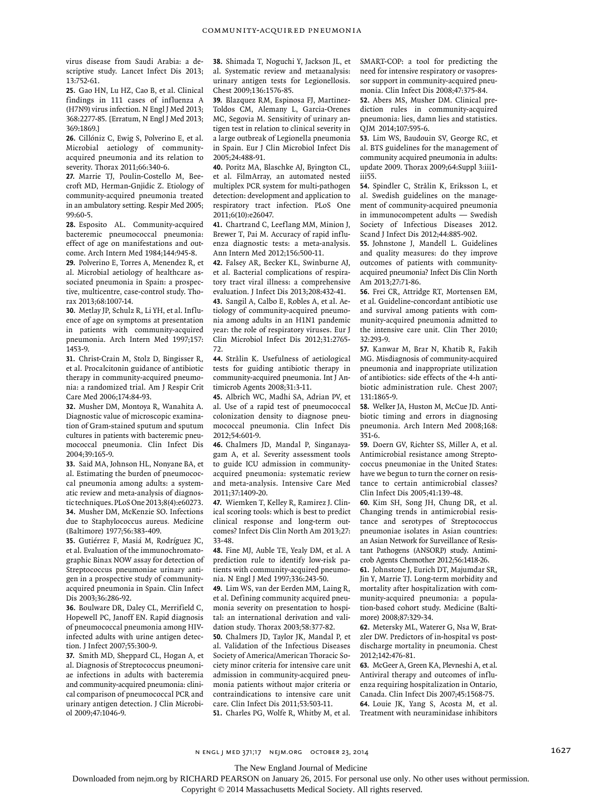virus disease from Saudi Arabia: a descriptive study. Lancet Infect Dis 2013; 13:752-61.

**25.** Gao HN, Lu HZ, Cao B, et al. Clinical findings in 111 cases of influenza A (H7N9) virus infection. N Engl J Med 2013; 368:2277-85. [Erratum, N Engl J Med 2013; 369:1869.]

**26.** Cillóniz C, Ewig S, Polverino E, et al. Microbial aetiology of communityacquired pneumonia and its relation to severity. Thorax 2011;66:340-6.

**27.** Marrie TJ, Poulin-Costello M, Beecroft MD, Herman-Gnjidic Z. Etiology of community-acquired pneumonia treated in an ambulatory setting. Respir Med 2005; 99:60-5.

**28.** Esposito AL. Community-acquired bacteremic pneumococcal pneumonia: effect of age on manifestations and outcome. Arch Intern Med 1984;144:945-8.

**29.** Polverino E, Torres A, Menendez R, et al. Microbial aetiology of healthcare associated pneumonia in Spain: a prospective, multicentre, case-control study. Thorax 2013;68:1007-14.

**30.** Metlay JP, Schulz R, Li YH, et al. Influence of age on symptoms at presentation in patients with community-acquired pneumonia. Arch Intern Med 1997;157: 1453-9.

**31.** Christ-Crain M, Stolz D, Bingisser R, et al. Procalcitonin guidance of antibiotic therapy in community-acquired pneumonia: a randomized trial. Am J Respir Crit Care Med 2006;174:84-93.

**32.** Musher DM, Montoya R, Wanahita A. Diagnostic value of microscopic examination of Gram-stained sputum and sputum cultures in patients with bacteremic pneumococcal pneumonia. Clin Infect Dis 2004;39:165-9.

**33.** Said MA, Johnson HL, Nonyane BA, et al. Estimating the burden of pneumococcal pneumonia among adults: a systematic review and meta-analysis of diagnostic techniques. PLoS One 2013;8(4):e60273. **34.** Musher DM, McKenzie SO. Infections due to Staphylococcus aureus*.* Medicine (Baltimore) 1977;56:383-409.

**35.** Gutiérrez F, Masiá M, Rodríguez JC, et al. Evaluation of the immunochromatographic Binax NOW assay for detection of Streptococcus pneumoniae urinary antigen in a prospective study of communityacquired pneumonia in Spain. Clin Infect Dis 2003;36:286-92.

**36.** Boulware DR, Daley CL, Merrifield C, Hopewell PC, Janoff EN. Rapid diagnosis of pneumococcal pneumonia among HIVinfected adults with urine antigen detection. J Infect 2007;55:300-9.

**37.** Smith MD, Sheppard CL, Hogan A, et al. Diagnosis of Streptococcus pneumoniae infections in adults with bacteremia and community-acquired pneumonia: clinical comparison of pneumococcal PCR and urinary antigen detection. J Clin Microbiol 2009;47:1046-9.

**38.** Shimada T, Noguchi Y, Jackson JL, et al. Systematic review and metaanalysis: urinary antigen tests for Legionellosis. Chest 2009;136:1576-85.

**39.** Blazquez RM, Espinosa FJ, Martinez-Toldos CM, Alemany L, Garcia-Orenes MC, Segovia M. Sensitivity of urinary antigen test in relation to clinical severity in a large outbreak of Legionella pneumonia in Spain. Eur J Clin Microbiol Infect Dis 2005;24:488-91.

**40.** Poritz MA, Blaschke AJ, Byington CL, et al. FilmArray, an automated nested multiplex PCR system for multi-pathogen detection: development and application to respiratory tract infection. PLoS One 2011;6(10):e26047.

**41.** Chartrand C, Leeflang MM, Minion J, Brewer T, Pai M. Accuracy of rapid influenza diagnostic tests: a meta-analysis. Ann Intern Med 2012;156:500-11.

**42.** Falsey AR, Becker KL, Swinburne AJ, et al. Bacterial complications of respiratory tract viral illness: a comprehensive evaluation. J Infect Dis 2013;208:432-41.

**43.** Sangil A, Calbo E, Robles A, et al. Aetiology of community-acquired pneumonia among adults in an H1N1 pandemic year: the role of respiratory viruses. Eur J Clin Microbiol Infect Dis 2012;31:2765- 72.

**44.** Strålin K. Usefulness of aetiological tests for guiding antibiotic therapy in community-acquired pneumonia. Int J Antimicrob Agents 2008;31:3-11.

**45.** Albrich WC, Madhi SA, Adrian PV, et al. Use of a rapid test of pneumococcal colonization density to diagnose pneumococcal pneumonia. Clin Infect Dis 2012;54:601-9.

**46.** Chalmers JD, Mandal P, Singanayagam A, et al. Severity assessment tools to guide ICU admission in communityacquired pneumonia: systematic review and meta-analysis. Intensive Care Med 2011;37:1409-20.

**47.** Wiemken T, Kelley R, Ramirez J. Clinical scoring tools: which is best to predict clinical response and long-term outcomes? Infect Dis Clin North Am 2013;27: 33-48.

**48.** Fine MJ, Auble TE, Yealy DM, et al. A prediction rule to identify low-risk patients with community-acquired pneumonia. N Engl J Med 1997;336:243-50.

**49.** Lim WS, van der Eerden MM, Laing R, et al. Defining community acquired pneumonia severity on presentation to hospital: an international derivation and validation study. Thorax 2003;58:377-82.

**50.** Chalmers JD, Taylor JK, Mandal P, et al. Validation of the Infectious Diseases Society of America/American Thoracic Society minor criteria for intensive care unit admission in community-acquired pneumonia patients without major criteria or contraindications to intensive care unit care. Clin Infect Dis 2011;53:503-11. **51.** Charles PG, Wolfe R, Whitby M, et al. SMART-COP: a tool for predicting the need for intensive respiratory or vasopressor support in community-acquired pneumonia. Clin Infect Dis 2008;47:375-84.

**52.** Abers MS, Musher DM. Clinical prediction rules in community-acquired pneumonia: lies, damn lies and statistics. QJM 2014;107:595-6.

**53.** Lim WS, Baudouin SV, George RC, et al. BTS guidelines for the management of community acquired pneumonia in adults: update 2009. Thorax 2009;64:Suppl 3:iii1 iii55.

**54.** Spindler C, Strålin K, Eriksson L, et al. Swedish guidelines on the management of community-acquired pneumonia in immunocompetent adults — Swedish Society of Infectious Diseases 2012. Scand J Infect Dis 2012;44:885-902.

**55.** Johnstone J, Mandell L. Guidelines and quality measures: do they improve outcomes of patients with communityacquired pneumonia? Infect Dis Clin North Am 2013;27:71-86.

**56.** Frei CR, Attridge RT, Mortensen EM, et al. Guideline-concordant antibiotic use and survival among patients with community-acquired pneumonia admitted to the intensive care unit. Clin Ther 2010; 32:293-9.

**57.** Kanwar M, Brar N, Khatib R, Fakih MG. Misdiagnosis of community-acquired pneumonia and inappropriate utilization of antibiotics: side effects of the 4-h antibiotic administration rule. Chest 2007; 131:1865-9.

**58.** Welker JA, Huston M, McCue JD. Antibiotic timing and errors in diagnosing pneumonia. Arch Intern Med 2008;168: 351-6.

**59.** Doern GV, Richter SS, Miller A, et al. Antimicrobial resistance among Streptococcus pneumoniae in the United States: have we begun to turn the corner on resistance to certain antimicrobial classes? Clin Infect Dis 2005;41:139-48.

**60.** Kim SH, Song JH, Chung DR, et al. Changing trends in antimicrobial resistance and serotypes of Streptococcus pneumoniae isolates in Asian countries: an Asian Network for Surveillance of Resistant Pathogens (ANSORP) study. Antimicrob Agents Chemother 2012;56:1418-26.

**61.** Johnstone J, Eurich DT, Majumdar SR, Jin Y, Marrie TJ. Long-term morbidity and mortality after hospitalization with community-acquired pneumonia: a population-based cohort study. Medicine (Baltimore) 2008;87:329-34.

**62.** Metersky ML, Waterer G, Nsa W, Bratzler DW. Predictors of in-hospital vs postdischarge mortality in pneumonia. Chest 2012;142:476-81.

**63.** McGeer A, Green KA, Plevneshi A, et al. Antiviral therapy and outcomes of influenza requiring hospitalization in Ontario, Canada. Clin Infect Dis 2007;45:1568-75. **64.** Louie JK, Yang S, Acosta M, et al. Treatment with neuraminidase inhibitors

n engl j med 371;17 nejm.org october 23, 2014 1627

The New England Journal of Medicine

Downloaded from nejm.org by RICHARD PEARSON on January 26, 2015. For personal use only. No other uses without permission.